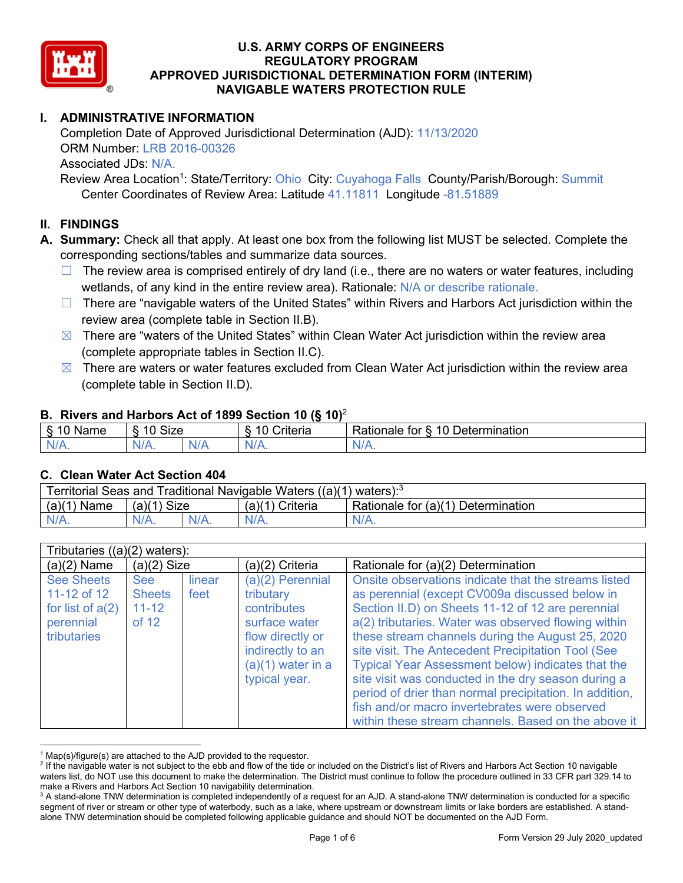

# **I. ADMINISTRATIVE INFORMATION**

Completion Date of Approved Jurisdictional Determination (AJD): 11/13/2020 ORM Number: LRB 2016-00326 Associated JDs: N/A.

Review Area Location<sup>1</sup>: State/Territory: Ohio City: Cuyahoga Falls County/Parish/Borough: Summit Center Coordinates of Review Area: Latitude 41.11811 Longitude -81.51889

#### **II. FINDINGS**

**A. Summary:** Check all that apply. At least one box from the following list MUST be selected. Complete the corresponding sections/tables and summarize data sources.

- $\Box$  The review area is comprised entirely of dry land (i.e., there are no waters or water features, including wetlands, of any kind in the entire review area). Rationale: N/A or describe rationale.
- $\Box$  There are "navigable waters of the United States" within Rivers and Harbors Act jurisdiction within the review area (complete table in Section II.B).
- $\boxtimes$  There are "waters of the United States" within Clean Water Act jurisdiction within the review area (complete appropriate tables in Section II.C).
- $\boxtimes$  There are waters or water features excluded from Clean Water Act jurisdiction within the review area (complete table in Section II.D).

#### **B. Rivers and Harbors Act of 1899 Section 10 (§ 10)**<sup>2</sup>

| $\cdot$                   |                      |        |                                                             |                                                 |  |  |
|---------------------------|----------------------|--------|-------------------------------------------------------------|-------------------------------------------------|--|--|
| $\sim$<br>$-$<br>ame<br>◡ | 10<br>$\sim$<br>SIZE |        | .<br>10<br>$^{\circ}$ rıt $\cap$ rı $\cap$<br><b>AILCIT</b> | Determination<br>$\sqrt{ }$<br>Rationale<br>tor |  |  |
| $N/A$ .                   | ו גו<br>97 / TV .    | w<br>. | $N/A$ .                                                     | $N_{\ell}$<br>$\mathbf{v}$                      |  |  |

#### **C. Clean Water Act Section 404**

| Territorial Seas and Traditional Navigable Waters $((a)(1)$ waters): <sup>3</sup> |                |  |                 |                                    |  |  |
|-----------------------------------------------------------------------------------|----------------|--|-----------------|------------------------------------|--|--|
| (a)(1)<br>Name                                                                    | Size<br>(a)(1) |  | (a)(1) Criteria | Rationale for (a)(1) Determination |  |  |
|                                                                                   | $N/A$ .        |  | $N/A$ .         | $N/A$ .                            |  |  |

| Tributaries $((a)(2)$ waters):                                                     |                                                     |                |                                                                                                                                                 |                                                                                                                                                                                                                                                                                                                                                                                                                                                                                                                                                                                                                    |  |  |
|------------------------------------------------------------------------------------|-----------------------------------------------------|----------------|-------------------------------------------------------------------------------------------------------------------------------------------------|--------------------------------------------------------------------------------------------------------------------------------------------------------------------------------------------------------------------------------------------------------------------------------------------------------------------------------------------------------------------------------------------------------------------------------------------------------------------------------------------------------------------------------------------------------------------------------------------------------------------|--|--|
| $(a)(2)$ Name                                                                      | $(a)(2)$ Size                                       |                | (a)(2) Criteria                                                                                                                                 | Rationale for (a)(2) Determination                                                                                                                                                                                                                                                                                                                                                                                                                                                                                                                                                                                 |  |  |
| <b>See Sheets</b><br>11-12 of 12<br>for list of $a(2)$<br>perennial<br>tributaries | <b>See</b><br><b>Sheets</b><br>$11 - 12$<br>of $12$ | linear<br>feet | $(a)(2)$ Perennial<br>tributary<br>contributes<br>surface water<br>flow directly or<br>indirectly to an<br>$(a)(1)$ water in a<br>typical year. | Onsite observations indicate that the streams listed<br>as perennial (except CV009a discussed below in<br>Section II.D) on Sheets 11-12 of 12 are perennial<br>a(2) tributaries. Water was observed flowing within<br>these stream channels during the August 25, 2020<br>site visit. The Antecedent Precipitation Tool (See<br><b>Typical Year Assessment below) indicates that the</b><br>site visit was conducted in the dry season during a<br>period of drier than normal precipitation. In addition,<br>fish and/or macro invertebrates were observed<br>within these stream channels. Based on the above it |  |  |

 $1$  Map(s)/figure(s) are attached to the AJD provided to the requestor.

<sup>&</sup>lt;sup>2</sup> If the navigable water is not subject to the ebb and flow of the tide or included on the District's list of Rivers and Harbors Act Section 10 navigable waters list, do NOT use this document to make the determination. The District must continue to follow the procedure outlined in 33 CFR part 329.14 to make a Rivers and Harbors Act Section 10 navigability determination.

<sup>&</sup>lt;sup>3</sup> A stand-alone TNW determination is completed independently of a request for an AJD. A stand-alone TNW determination is conducted for a specific segment of river or stream or other type of waterbody, such as a lake, where upstream or downstream limits or lake borders are established. A standalone TNW determination should be completed following applicable guidance and should NOT be documented on the AJD Form.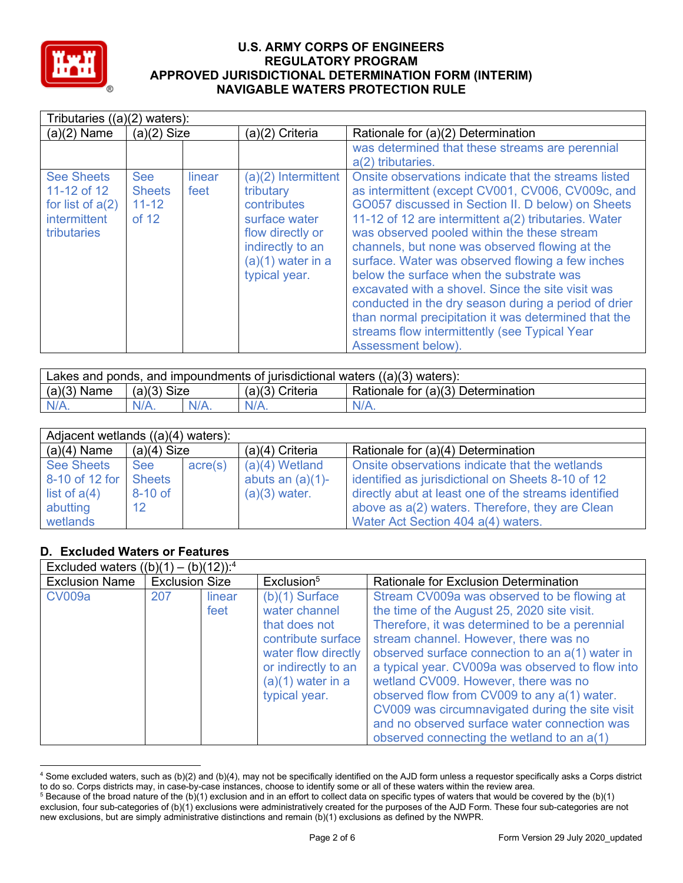

| Tributaries $((a)(2)$ waters):                                                               |                                                   |                |                                                                                                                                                    |                                                                                                                                                                                                                                                                                                                                                                                                                                                                                                                                                                                                                                                                     |  |  |
|----------------------------------------------------------------------------------------------|---------------------------------------------------|----------------|----------------------------------------------------------------------------------------------------------------------------------------------------|---------------------------------------------------------------------------------------------------------------------------------------------------------------------------------------------------------------------------------------------------------------------------------------------------------------------------------------------------------------------------------------------------------------------------------------------------------------------------------------------------------------------------------------------------------------------------------------------------------------------------------------------------------------------|--|--|
| $(a)(2)$ Name                                                                                | $(a)(2)$ Size                                     |                | (a)(2) Criteria                                                                                                                                    | Rationale for (a)(2) Determination                                                                                                                                                                                                                                                                                                                                                                                                                                                                                                                                                                                                                                  |  |  |
|                                                                                              |                                                   |                |                                                                                                                                                    | was determined that these streams are perennial<br>a(2) tributaries.                                                                                                                                                                                                                                                                                                                                                                                                                                                                                                                                                                                                |  |  |
| <b>See Sheets</b><br>11-12 of 12<br>for list of $a(2)$<br><i>intermittent</i><br>tributaries | <b>See</b><br><b>Sheets</b><br>$11 - 12$<br>of 12 | linear<br>feet | $(a)(2)$ Intermittent<br>tributary<br>contributes<br>surface water<br>flow directly or<br>indirectly to an<br>$(a)(1)$ water in a<br>typical year. | Onsite observations indicate that the streams listed<br>as intermittent (except CV001, CV006, CV009c, and<br>GO057 discussed in Section II. D below) on Sheets<br>11-12 of 12 are intermittent a(2) tributaries. Water<br>was observed pooled within the these stream<br>channels, but none was observed flowing at the<br>surface. Water was observed flowing a few inches<br>below the surface when the substrate was<br>excavated with a shovel. Since the site visit was<br>conducted in the dry season during a period of drier<br>than normal precipitation it was determined that the<br>streams flow intermittently (see Typical Year<br>Assessment below). |  |  |

| Lakes and ponds, and impoundments of jurisdictional waters $((a)(3)$ waters): |               |         |                 |                                    |  |  |
|-------------------------------------------------------------------------------|---------------|---------|-----------------|------------------------------------|--|--|
| $(a)(3)$ Name                                                                 | $(a)(3)$ Size |         | (a)(3) Criteria | Rationale for (a)(3) Determination |  |  |
| $N/A$ .                                                                       | $N/A$ .       | $N/A$ . | $N/A$ .         | $N/A$ .                            |  |  |

| Adjacent wetlands ((a)(4) waters): |                   |         |                     |                                                      |
|------------------------------------|-------------------|---------|---------------------|------------------------------------------------------|
| $(a)(4)$ Name                      | $(a)(4)$ Size     |         | $(a)(4)$ Criteria   | Rationale for (a)(4) Determination                   |
| <b>See Sheets</b>                  | <b>See</b>        | acre(s) | $(a)(4)$ Wetland    | Onsite observations indicate that the wetlands       |
| 8-10 of 12 for                     | <b>Sheets</b>     |         | abuts an $(a)(1)$ - | identified as jurisdictional on Sheets 8-10 of 12    |
| list of $a(4)$                     | 8-10 of           |         | $(a)(3)$ water.     | directly abut at least one of the streams identified |
| abutting                           | $12 \overline{ }$ |         |                     | above as a(2) waters. Therefore, they are Clean      |
| wetlands                           |                   |         |                     | Water Act Section 404 a(4) waters.                   |

## **D. Excluded Waters or Features**

| Excluded waters $((b)(1) - (b)(12))$ : <sup>4</sup> |                       |                |                                                                                                                                                                |                                                                                                                                                                                                                                                                                                                                                                                                                                                                                                                                      |  |  |  |
|-----------------------------------------------------|-----------------------|----------------|----------------------------------------------------------------------------------------------------------------------------------------------------------------|--------------------------------------------------------------------------------------------------------------------------------------------------------------------------------------------------------------------------------------------------------------------------------------------------------------------------------------------------------------------------------------------------------------------------------------------------------------------------------------------------------------------------------------|--|--|--|
| <b>Exclusion Name</b>                               | <b>Exclusion Size</b> |                | Exclusion <sup>5</sup>                                                                                                                                         | <b>Rationale for Exclusion Determination</b>                                                                                                                                                                                                                                                                                                                                                                                                                                                                                         |  |  |  |
| <b>CV009a</b>                                       | 207                   | linear<br>feet | $(b)(1)$ Surface<br>water channel<br>that does not<br>contribute surface<br>water flow directly<br>or indirectly to an<br>$(a)(1)$ water in a<br>typical year. | Stream CV009a was observed to be flowing at<br>the time of the August 25, 2020 site visit.<br>Therefore, it was determined to be a perennial<br>stream channel. However, there was no<br>observed surface connection to an a(1) water in<br>a typical year. CV009a was observed to flow into<br>wetland CV009. However, there was no<br>observed flow from CV009 to any a(1) water.<br>CV009 was circumnavigated during the site visit<br>and no observed surface water connection was<br>observed connecting the wetland to an a(1) |  |  |  |

<sup>4</sup> Some excluded waters, such as (b)(2) and (b)(4), may not be specifically identified on the AJD form unless a requestor specifically asks a Corps district to do so. Corps districts may, in case-by-case instances, choose to identify some or all of these waters within the review area.

<sup>5</sup> Because of the broad nature of the (b)(1) exclusion and in an effort to collect data on specific types of waters that would be covered by the (b)(1) exclusion, four sub-categories of (b)(1) exclusions were administratively created for the purposes of the AJD Form. These four sub-categories are not new exclusions, but are simply administrative distinctions and remain (b)(1) exclusions as defined by the NWPR.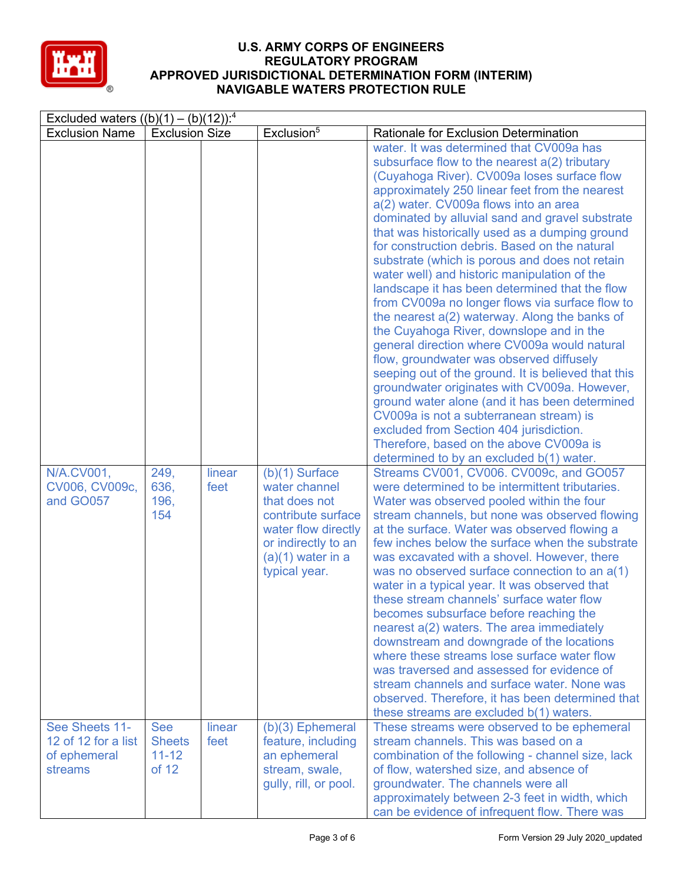

| Excluded waters $((b)(1) - (b)(12))$ : <sup>4</sup>              |                                                   |                |                                                                                                                                                                |                                                                                                                                                                                                                                                                                                                                                                                                                                                                                                                                                                                                                                                                                                                                                                                                                                                                                                                                                                                                                                                                                                                                                                                                                                                                                                                                                                                                                                                                                                                                                                                                                                                                                                                                                                                                                  |
|------------------------------------------------------------------|---------------------------------------------------|----------------|----------------------------------------------------------------------------------------------------------------------------------------------------------------|------------------------------------------------------------------------------------------------------------------------------------------------------------------------------------------------------------------------------------------------------------------------------------------------------------------------------------------------------------------------------------------------------------------------------------------------------------------------------------------------------------------------------------------------------------------------------------------------------------------------------------------------------------------------------------------------------------------------------------------------------------------------------------------------------------------------------------------------------------------------------------------------------------------------------------------------------------------------------------------------------------------------------------------------------------------------------------------------------------------------------------------------------------------------------------------------------------------------------------------------------------------------------------------------------------------------------------------------------------------------------------------------------------------------------------------------------------------------------------------------------------------------------------------------------------------------------------------------------------------------------------------------------------------------------------------------------------------------------------------------------------------------------------------------------------------|
| <b>Exclusion Name</b>                                            | <b>Exclusion Size</b>                             |                | Exclusion <sup>5</sup>                                                                                                                                         | Rationale for Exclusion Determination                                                                                                                                                                                                                                                                                                                                                                                                                                                                                                                                                                                                                                                                                                                                                                                                                                                                                                                                                                                                                                                                                                                                                                                                                                                                                                                                                                                                                                                                                                                                                                                                                                                                                                                                                                            |
| N/A.CV001,<br>CV006, CV009c,<br>and GO057                        | 249,<br>636,<br>196,<br>154                       | linear<br>feet | $(b)(1)$ Surface<br>water channel<br>that does not<br>contribute surface<br>water flow directly<br>or indirectly to an<br>$(a)(1)$ water in a<br>typical year. | water. It was determined that CV009a has<br>subsurface flow to the nearest a(2) tributary<br>(Cuyahoga River). CV009a loses surface flow<br>approximately 250 linear feet from the nearest<br>a(2) water. CV009a flows into an area<br>dominated by alluvial sand and gravel substrate<br>that was historically used as a dumping ground<br>for construction debris. Based on the natural<br>substrate (which is porous and does not retain<br>water well) and historic manipulation of the<br>landscape it has been determined that the flow<br>from CV009a no longer flows via surface flow to<br>the nearest a(2) waterway. Along the banks of<br>the Cuyahoga River, downslope and in the<br>general direction where CV009a would natural<br>flow, groundwater was observed diffusely<br>seeping out of the ground. It is believed that this<br>groundwater originates with CV009a. However,<br>ground water alone (and it has been determined<br>CV009a is not a subterranean stream) is<br>excluded from Section 404 jurisdiction.<br>Therefore, based on the above CV009a is<br>determined to by an excluded b(1) water.<br>Streams CV001, CV006. CV009c, and GO057<br>were determined to be intermittent tributaries.<br>Water was observed pooled within the four<br>stream channels, but none was observed flowing<br>at the surface. Water was observed flowing a<br>few inches below the surface when the substrate<br>was excavated with a shovel. However, there<br>was no observed surface connection to an a(1)<br>water in a typical year. It was observed that<br>these stream channels' surface water flow<br>becomes subsurface before reaching the<br>nearest a(2) waters. The area immediately<br>downstream and downgrade of the locations<br>where these streams lose surface water flow |
|                                                                  |                                                   |                |                                                                                                                                                                | was traversed and assessed for evidence of<br>stream channels and surface water. None was<br>observed. Therefore, it has been determined that<br>these streams are excluded b(1) waters.                                                                                                                                                                                                                                                                                                                                                                                                                                                                                                                                                                                                                                                                                                                                                                                                                                                                                                                                                                                                                                                                                                                                                                                                                                                                                                                                                                                                                                                                                                                                                                                                                         |
| See Sheets 11-<br>12 of 12 for a list<br>of ephemeral<br>streams | <b>See</b><br><b>Sheets</b><br>$11 - 12$<br>of 12 | linear<br>feet | (b)(3) Ephemeral<br>feature, including<br>an ephemeral<br>stream, swale,<br>gully, rill, or pool.                                                              | These streams were observed to be ephemeral<br>stream channels. This was based on a<br>combination of the following - channel size, lack<br>of flow, watershed size, and absence of<br>groundwater. The channels were all<br>approximately between 2-3 feet in width, which<br>can be evidence of infrequent flow. There was                                                                                                                                                                                                                                                                                                                                                                                                                                                                                                                                                                                                                                                                                                                                                                                                                                                                                                                                                                                                                                                                                                                                                                                                                                                                                                                                                                                                                                                                                     |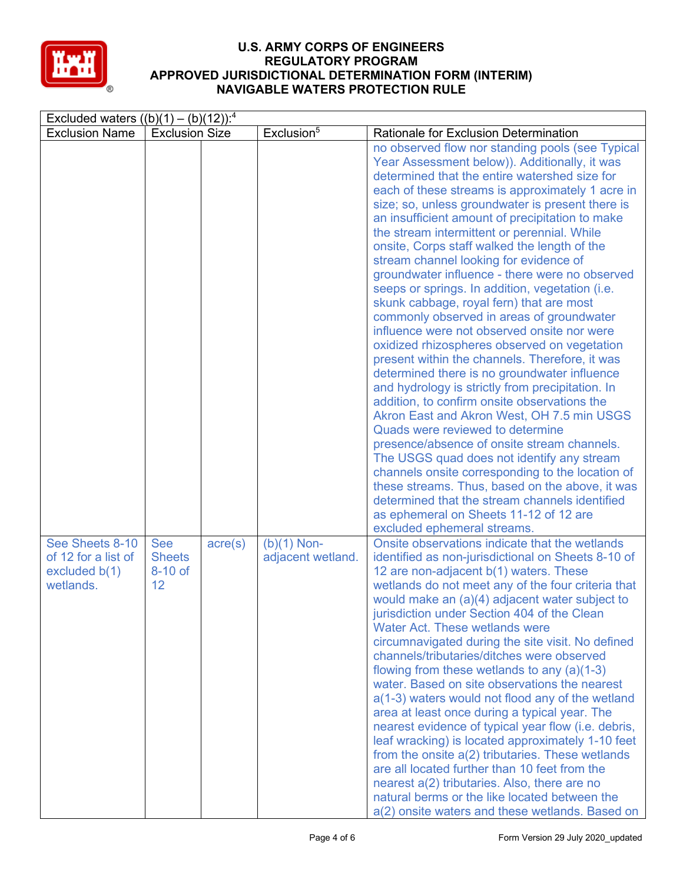

| Excluded waters $((b)(1) - (b)(12))$ : <sup>4</sup>                    |                                              |                  |                                    |                                                                                                                                                                                                                                                                                                                                                                                                                                                                                                                                                                                                                                                                                                                                                                                                                                                                                                                                                                                                                                                                                                                                                                                                                                                                                                                                                                            |  |  |
|------------------------------------------------------------------------|----------------------------------------------|------------------|------------------------------------|----------------------------------------------------------------------------------------------------------------------------------------------------------------------------------------------------------------------------------------------------------------------------------------------------------------------------------------------------------------------------------------------------------------------------------------------------------------------------------------------------------------------------------------------------------------------------------------------------------------------------------------------------------------------------------------------------------------------------------------------------------------------------------------------------------------------------------------------------------------------------------------------------------------------------------------------------------------------------------------------------------------------------------------------------------------------------------------------------------------------------------------------------------------------------------------------------------------------------------------------------------------------------------------------------------------------------------------------------------------------------|--|--|
| <b>Exclusion Name</b>                                                  | <b>Exclusion Size</b>                        |                  | Exclusion <sup>5</sup>             | <b>Rationale for Exclusion Determination</b>                                                                                                                                                                                                                                                                                                                                                                                                                                                                                                                                                                                                                                                                                                                                                                                                                                                                                                                                                                                                                                                                                                                                                                                                                                                                                                                               |  |  |
|                                                                        |                                              |                  |                                    | no observed flow nor standing pools (see Typical<br>Year Assessment below)). Additionally, it was<br>determined that the entire watershed size for<br>each of these streams is approximately 1 acre in<br>size; so, unless groundwater is present there is<br>an insufficient amount of precipitation to make<br>the stream intermittent or perennial. While<br>onsite, Corps staff walked the length of the<br>stream channel looking for evidence of<br>groundwater influence - there were no observed<br>seeps or springs. In addition, vegetation (i.e.<br>skunk cabbage, royal fern) that are most<br>commonly observed in areas of groundwater<br>influence were not observed onsite nor were<br>oxidized rhizospheres observed on vegetation<br>present within the channels. Therefore, it was<br>determined there is no groundwater influence<br>and hydrology is strictly from precipitation. In<br>addition, to confirm onsite observations the<br>Akron East and Akron West, OH 7.5 min USGS<br>Quads were reviewed to determine<br>presence/absence of onsite stream channels.<br>The USGS quad does not identify any stream<br>channels onsite corresponding to the location of<br>these streams. Thus, based on the above, it was<br>determined that the stream channels identified<br>as ephemeral on Sheets 11-12 of 12 are<br>excluded ephemeral streams. |  |  |
| See Sheets 8-10<br>of 12 for a list of<br>excluded $b(1)$<br>wetlands. | <b>See</b><br><b>Sheets</b><br>8-10 of<br>12 | $\text{acre}(s)$ | $(b)(1)$ Non-<br>adjacent wetland. | Onsite observations indicate that the wetlands<br>identified as non-jurisdictional on Sheets 8-10 of<br>12 are non-adjacent b(1) waters. These<br>wetlands do not meet any of the four criteria that<br>would make an (a)(4) adjacent water subject to<br>jurisdiction under Section 404 of the Clean<br><b>Water Act. These wetlands were</b><br>circumnavigated during the site visit. No defined<br>channels/tributaries/ditches were observed<br>flowing from these wetlands to any (a)(1-3)<br>water. Based on site observations the nearest<br>a(1-3) waters would not flood any of the wetland<br>area at least once during a typical year. The<br>nearest evidence of typical year flow (i.e. debris,<br>leaf wracking) is located approximately 1-10 feet<br>from the onsite a(2) tributaries. These wetlands<br>are all located further than 10 feet from the<br>nearest a(2) tributaries. Also, there are no<br>natural berms or the like located between the<br>a(2) onsite waters and these wetlands. Based on                                                                                                                                                                                                                                                                                                                                                |  |  |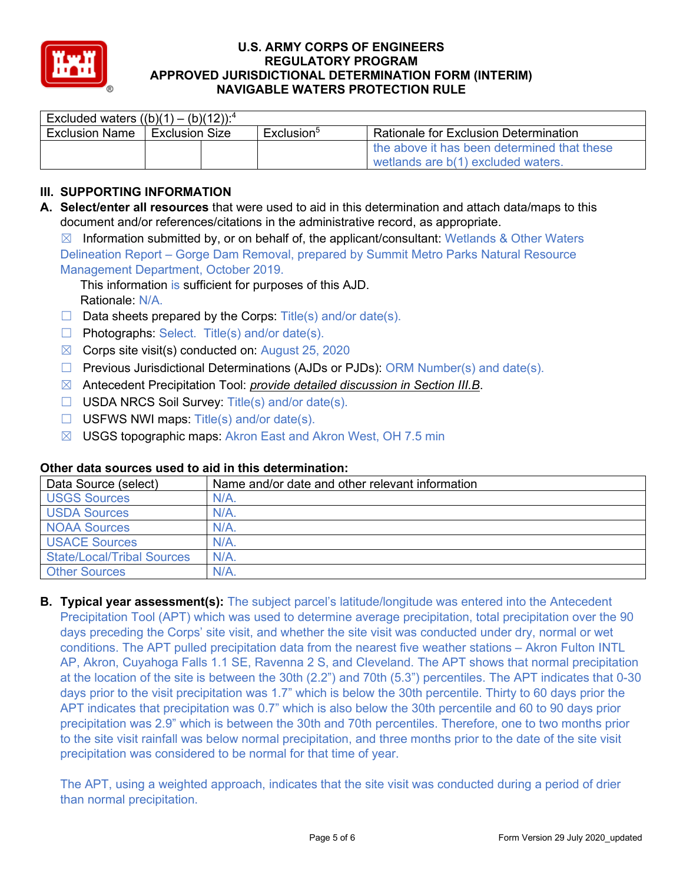

| Excluded waters $((b)(1) - (b)(12))^{4}$ |                       |  |                        |                                              |  |  |  |
|------------------------------------------|-----------------------|--|------------------------|----------------------------------------------|--|--|--|
| <b>Exclusion Name</b>                    | <b>Exclusion Size</b> |  | Exclusion <sup>5</sup> | <b>Rationale for Exclusion Determination</b> |  |  |  |
|                                          |                       |  |                        | the above it has been determined that these  |  |  |  |
|                                          |                       |  |                        | wetlands are b(1) excluded waters.           |  |  |  |

## **III. SUPPORTING INFORMATION**

**A. Select/enter all resources** that were used to aid in this determination and attach data/maps to this document and/or references/citations in the administrative record, as appropriate.

 $\boxtimes$  Information submitted by, or on behalf of, the applicant/consultant: Wetlands & Other Waters Delineation Report – Gorge Dam Removal, prepared by Summit Metro Parks Natural Resource

Management Department, October 2019.

This information is sufficient for purposes of this AJD. Rationale: N/A.

- $\Box$  Data sheets prepared by the Corps: Title(s) and/or date(s).
- $\Box$  Photographs: Select. Title(s) and/or date(s).
- $\boxtimes$  Corps site visit(s) conducted on: August 25, 2020
- ☐ Previous Jurisdictional Determinations (AJDs or PJDs): ORM Number(s) and date(s).
- ☒ Antecedent Precipitation Tool: *provide detailed discussion in Section III.B*.
- ☐ USDA NRCS Soil Survey: Title(s) and/or date(s).
- $\Box$  USFWS NWI maps: Title(s) and/or date(s).
- ☒ USGS topographic maps: Akron East and Akron West, OH 7.5 min

| othol aata oodi ood adda to aha in tino adtonnination. |                                                 |  |  |  |  |
|--------------------------------------------------------|-------------------------------------------------|--|--|--|--|
| Data Source (select)                                   | Name and/or date and other relevant information |  |  |  |  |
| USGS Sources                                           | $N/A$ .                                         |  |  |  |  |
| USDA Sources                                           | $N/A$ .                                         |  |  |  |  |
| <b>NOAA Sources</b>                                    | $N/A$ .                                         |  |  |  |  |
| <b>USACE Sources</b>                                   | N/A                                             |  |  |  |  |
| <b>State/Local/Tribal Sources</b>                      | $N/A$ .                                         |  |  |  |  |
| <b>Other Sources</b>                                   | N/A                                             |  |  |  |  |

## **Other data sources used to aid in this determination:**

**B. Typical year assessment(s):** The subject parcel's latitude/longitude was entered into the Antecedent Precipitation Tool (APT) which was used to determine average precipitation, total precipitation over the 90 days preceding the Corps' site visit, and whether the site visit was conducted under dry, normal or wet conditions. The APT pulled precipitation data from the nearest five weather stations – Akron Fulton INTL AP, Akron, Cuyahoga Falls 1.1 SE, Ravenna 2 S, and Cleveland. The APT shows that normal precipitation at the location of the site is between the 30th (2.2") and 70th (5.3") percentiles. The APT indicates that 0-30 days prior to the visit precipitation was 1.7" which is below the 30th percentile. Thirty to 60 days prior the APT indicates that precipitation was 0.7" which is also below the 30th percentile and 60 to 90 days prior precipitation was 2.9" which is between the 30th and 70th percentiles. Therefore, one to two months prior to the site visit rainfall was below normal precipitation, and three months prior to the date of the site visit precipitation was considered to be normal for that time of year.

The APT, using a weighted approach, indicates that the site visit was conducted during a period of drier than normal precipitation.